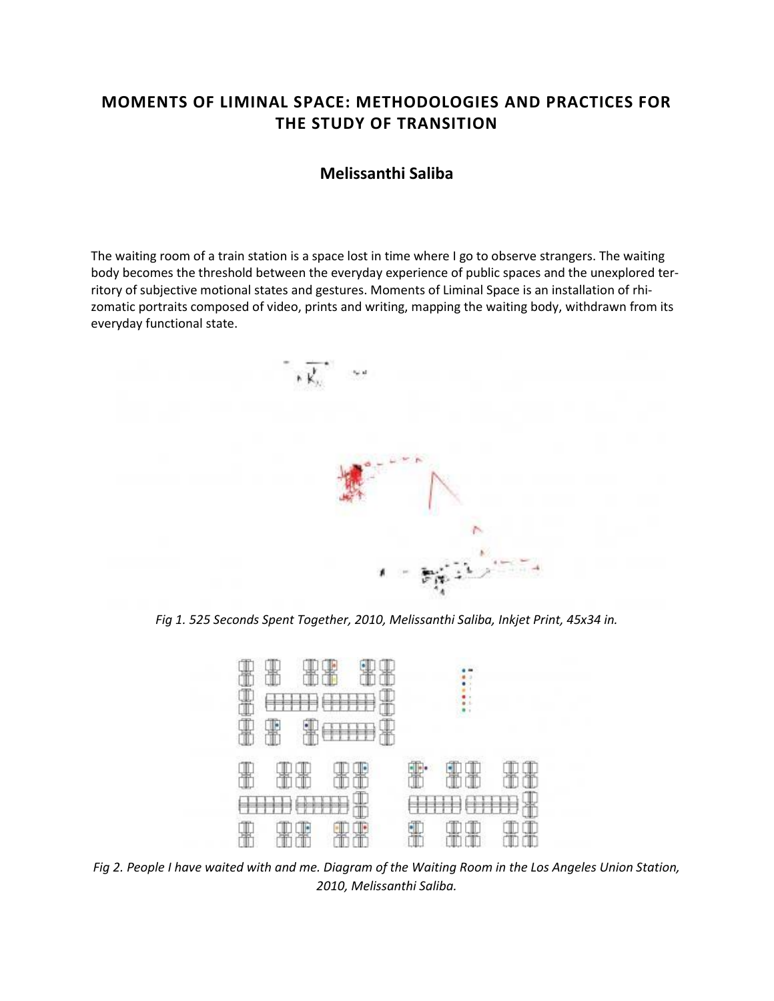# **MOMENTS OF LIMINAL SPACE: METHODOLOGIES AND PRACTICES FOR THE STUDY OF TRANSITION**

## **Melissanthi Saliba**

The waiting room of a train station is a space lost in time where I go to observe strangers. The waiting body becomes the threshold between the everyday experience of public spaces and the unexplored territory of subjective motional states and gestures. Moments of Liminal Space is an installation of rhizomatic portraits composed of video, prints and writing, mapping the waiting body, withdrawn from its everyday functional state.



*Fig 1. 525 Seconds Spent Together, 2010, Melissanthi Saliba, Inkjet Print, 45x34 in.*



*Fig 2. People I have waited with and me. Diagram of the Waiting Room in the Los Angeles Union Station, 2010, Melissanthi Saliba.*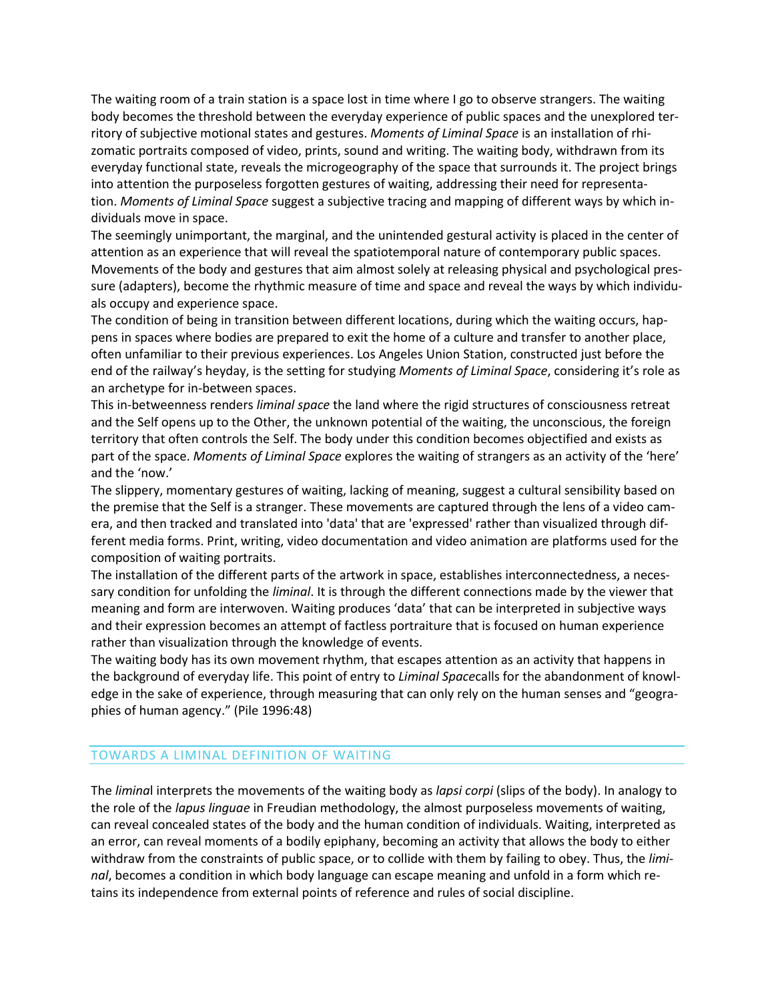The waiting room of a train station is a space lost in time where I go to observe strangers. The waiting body becomes the threshold between the everyday experience of public spaces and the unexplored territory of subjective motional states and gestures. *Moments of Liminal Space* is an installation of rhizomatic portraits composed of video, prints, sound and writing. The waiting body, withdrawn from its everyday functional state, reveals the microgeography of the space that surrounds it. The project brings into attention the purposeless forgotten gestures of waiting, addressing their need for representation. *Moments of Liminal Space* suggest a subjective tracing and mapping of different ways by which individuals move in space.

The seemingly unimportant, the marginal, and the unintended gestural activity is placed in the center of attention as an experience that will reveal the spatiotemporal nature of contemporary public spaces. Movements of the body and gestures that aim almost solely at releasing physical and psychological pressure (adapters), become the rhythmic measure of time and space and reveal the ways by which individuals occupy and experience space.

The condition of being in transition between different locations, during which the waiting occurs, happens in spaces where bodies are prepared to exit the home of a culture and transfer to another place, often unfamiliar to their previous experiences. Los Angeles Union Station, constructed just before the end of the railway's heyday, is the setting for studying *Moments of Liminal Space*, considering it's role as an archetype for in-between spaces.

This in-betweenness renders *liminal space* the land where the rigid structures of consciousness retreat and the Self opens up to the Other, the unknown potential of the waiting, the unconscious, the foreign territory that often controls the Self. The body under this condition becomes objectified and exists as part of the space. *Moments of Liminal Space* explores the waiting of strangers as an activity of the 'here' and the 'now.'

The slippery, momentary gestures of waiting, lacking of meaning, suggest a cultural sensibility based on the premise that the Self is a stranger. These movements are captured through the lens of a video camera, and then tracked and translated into 'data' that are 'expressed' rather than visualized through different media forms. Print, writing, video documentation and video animation are platforms used for the composition of waiting portraits.

The installation of the different parts of the artwork in space, establishes interconnectedness, a necessary condition for unfolding the *liminal*. It is through the different connections made by the viewer that meaning and form are interwoven. Waiting produces 'data' that can be interpreted in subjective ways and their expression becomes an attempt of factless portraiture that is focused on human experience rather than visualization through the knowledge of events.

The waiting body has its own movement rhythm, that escapes attention as an activity that happens in the background of everyday life. This point of entry to *Liminal Space*calls for the abandonment of knowledge in the sake of experience, through measuring that can only rely on the human senses and "geographies of human agency." (Pile 1996:48)

### TOWARDS A LIMINAL DEFINITION OF WAITING

The *limina*l interprets the movements of the waiting body as *lapsi corpi* (slips of the body). In analogy to the role of the *lapus linguae* in Freudian methodology, the almost purposeless movements of waiting, can reveal concealed states of the body and the human condition of individuals. Waiting, interpreted as an error, can reveal moments of a bodily epiphany, becoming an activity that allows the body to either withdraw from the constraints of public space, or to collide with them by failing to obey. Thus, the *liminal*, becomes a condition in which body language can escape meaning and unfold in a form which retains its independence from external points of reference and rules of social discipline.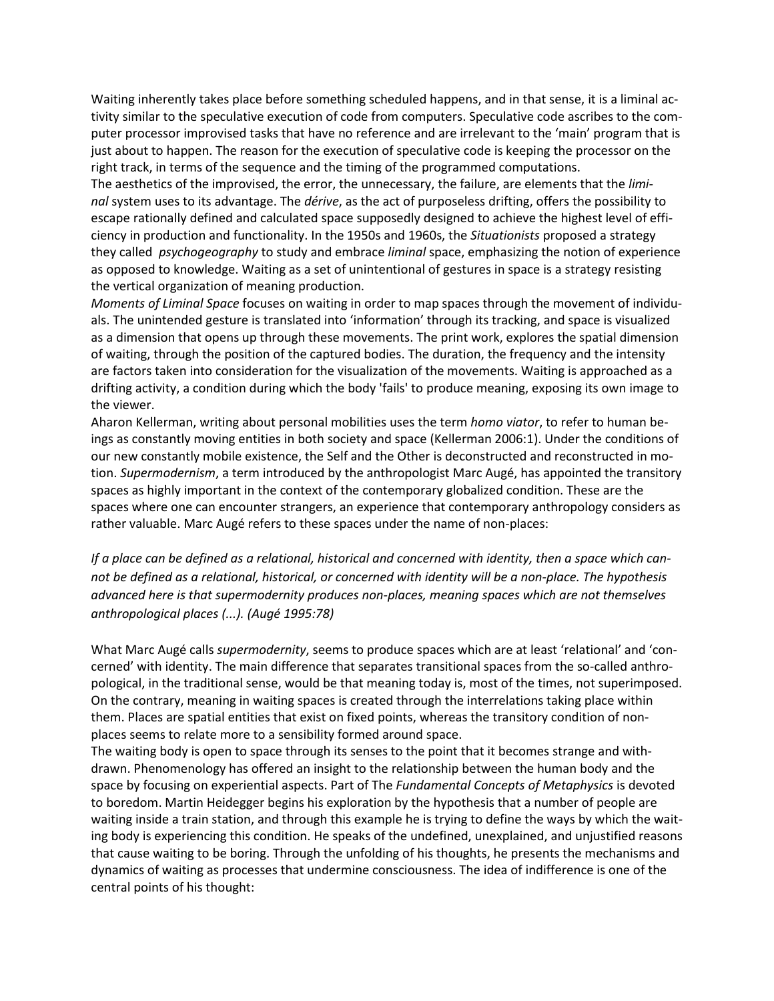Waiting inherently takes place before something scheduled happens, and in that sense, it is a liminal activity similar to the speculative execution of code from computers. Speculative code ascribes to the computer processor improvised tasks that have no reference and are irrelevant to the 'main' program that is just about to happen. The reason for the execution of speculative code is keeping the processor on the right track, in terms of the sequence and the timing of the programmed computations.

The aesthetics of the improvised, the error, the unnecessary, the failure, are elements that the *liminal* system uses to its advantage. The *dérive*, as the act of purposeless drifting, offers the possibility to escape rationally defined and calculated space supposedly designed to achieve the highest level of efficiency in production and functionality. In the 1950s and 1960s, the *Situationists* proposed a strategy they called *psychogeography* to study and embrace *liminal* space, emphasizing the notion of experience as opposed to knowledge. Waiting as a set of unintentional of gestures in space is a strategy resisting the vertical organization of meaning production.

*Moments of Liminal Space* focuses on waiting in order to map spaces through the movement of individuals. The unintended gesture is translated into 'information' through its tracking, and space is visualized as a dimension that opens up through these movements. The print work, explores the spatial dimension of waiting, through the position of the captured bodies. The duration, the frequency and the intensity are factors taken into consideration for the visualization of the movements. Waiting is approached as a drifting activity, a condition during which the body 'fails' to produce meaning, exposing its own image to the viewer.

Aharon Kellerman, writing about personal mobilities uses the term *homo viator*, to refer to human beings as constantly moving entities in both society and space (Kellerman 2006:1). Under the conditions of our new constantly mobile existence, the Self and the Other is deconstructed and reconstructed in motion. *Supermodernism*, a term introduced by the anthropologist Marc Augé, has appointed the transitory spaces as highly important in the context of the contemporary globalized condition. These are the spaces where one can encounter strangers, an experience that contemporary anthropology considers as rather valuable. Marc Augé refers to these spaces under the name of non-places:

*If a place can be defined as a relational, historical and concerned with identity, then a space which cannot be defined as a relational, historical, or concerned with identity will be a non-place. The hypothesis advanced here is that supermodernity produces non-places, meaning spaces which are not themselves anthropological places (...). (Augé 1995:78)*

What Marc Augé calls *supermodernity*, seems to produce spaces which are at least 'relational' and 'concerned' with identity. The main difference that separates transitional spaces from the so-called anthropological, in the traditional sense, would be that meaning today is, most of the times, not superimposed. On the contrary, meaning in waiting spaces is created through the interrelations taking place within them. Places are spatial entities that exist on fixed points, whereas the transitory condition of nonplaces seems to relate more to a sensibility formed around space.

The waiting body is open to space through its senses to the point that it becomes strange and withdrawn. Phenomenology has offered an insight to the relationship between the human body and the space by focusing on experiential aspects. Part of The *Fundamental Concepts of Metaphysics* is devoted to boredom. Martin Heidegger begins his exploration by the hypothesis that a number of people are waiting inside a train station, and through this example he is trying to define the ways by which the waiting body is experiencing this condition. He speaks of the undefined, unexplained, and unjustified reasons that cause waiting to be boring. Through the unfolding of his thoughts, he presents the mechanisms and dynamics of waiting as processes that undermine consciousness. The idea of indifference is one of the central points of his thought: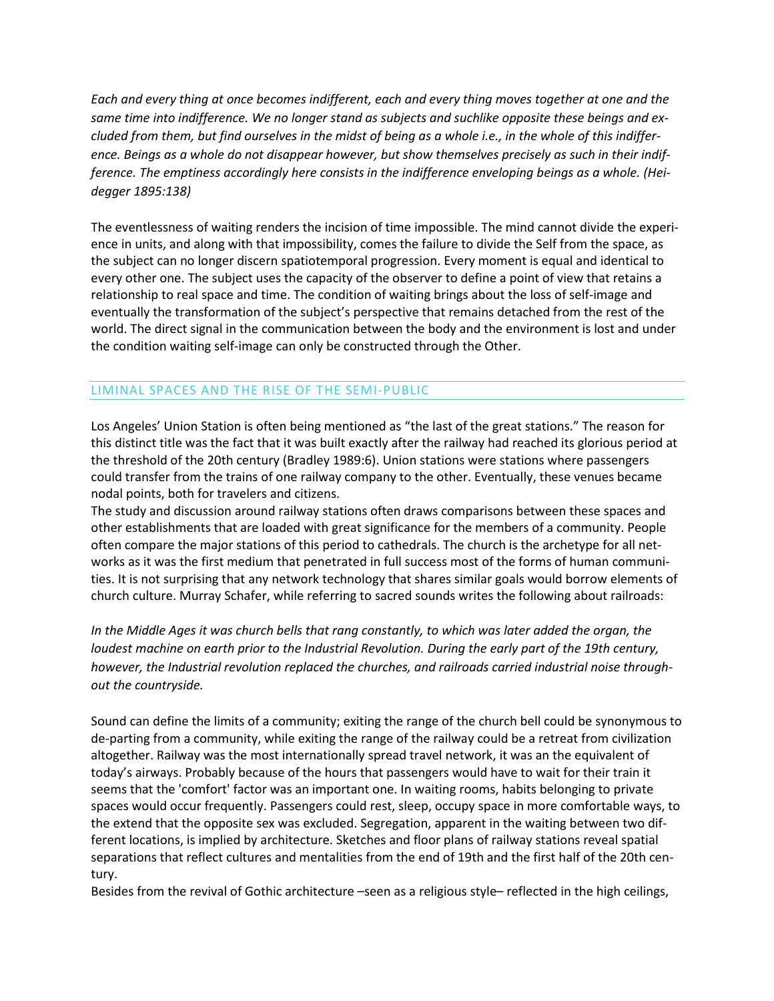*Each and every thing at once becomes indifferent, each and every thing moves together at one and the same time into indifference. We no longer stand as subjects and suchlike opposite these beings and excluded from them, but find ourselves in the midst of being as a whole i.e., in the whole of this indifference. Beings as a whole do not disappear however, but show themselves precisely as such in their indifference. The emptiness accordingly here consists in the indifference enveloping beings as a whole. (Heidegger 1895:138)*

The eventlessness of waiting renders the incision of time impossible. The mind cannot divide the experience in units, and along with that impossibility, comes the failure to divide the Self from the space, as the subject can no longer discern spatiotemporal progression. Every moment is equal and identical to every other one. The subject uses the capacity of the observer to define a point of view that retains a relationship to real space and time. The condition of waiting brings about the loss of self-image and eventually the transformation of the subject's perspective that remains detached from the rest of the world. The direct signal in the communication between the body and the environment is lost and under the condition waiting self-image can only be constructed through the Other.

## LIMINAL SPACES AND THE RISE OF THE SEMI-PUBLIC

Los Angeles' Union Station is often being mentioned as "the last of the great stations." The reason for this distinct title was the fact that it was built exactly after the railway had reached its glorious period at the threshold of the 20th century (Bradley 1989:6). Union stations were stations where passengers could transfer from the trains of one railway company to the other. Eventually, these venues became nodal points, both for travelers and citizens.

The study and discussion around railway stations often draws comparisons between these spaces and other establishments that are loaded with great significance for the members of a community. People often compare the major stations of this period to cathedrals. The church is the archetype for all networks as it was the first medium that penetrated in full success most of the forms of human communities. It is not surprising that any network technology that shares similar goals would borrow elements of church culture. Murray Schafer, while referring to sacred sounds writes the following about railroads:

*In the Middle Ages it was church bells that rang constantly, to which was later added the organ, the loudest machine on earth prior to the Industrial Revolution. During the early part of the 19th century, however, the Industrial revolution replaced the churches, and railroads carried industrial noise throughout the countryside.*

Sound can define the limits of a community; exiting the range of the church bell could be synonymous to de-parting from a community, while exiting the range of the railway could be a retreat from civilization altogether. Railway was the most internationally spread travel network, it was an the equivalent of today's airways. Probably because of the hours that passengers would have to wait for their train it seems that the 'comfort' factor was an important one. In waiting rooms, habits belonging to private spaces would occur frequently. Passengers could rest, sleep, occupy space in more comfortable ways, to the extend that the opposite sex was excluded. Segregation, apparent in the waiting between two different locations, is implied by architecture. Sketches and floor plans of railway stations reveal spatial separations that reflect cultures and mentalities from the end of 19th and the first half of the 20th century.

Besides from the revival of Gothic architecture –seen as a religious style– reflected in the high ceilings,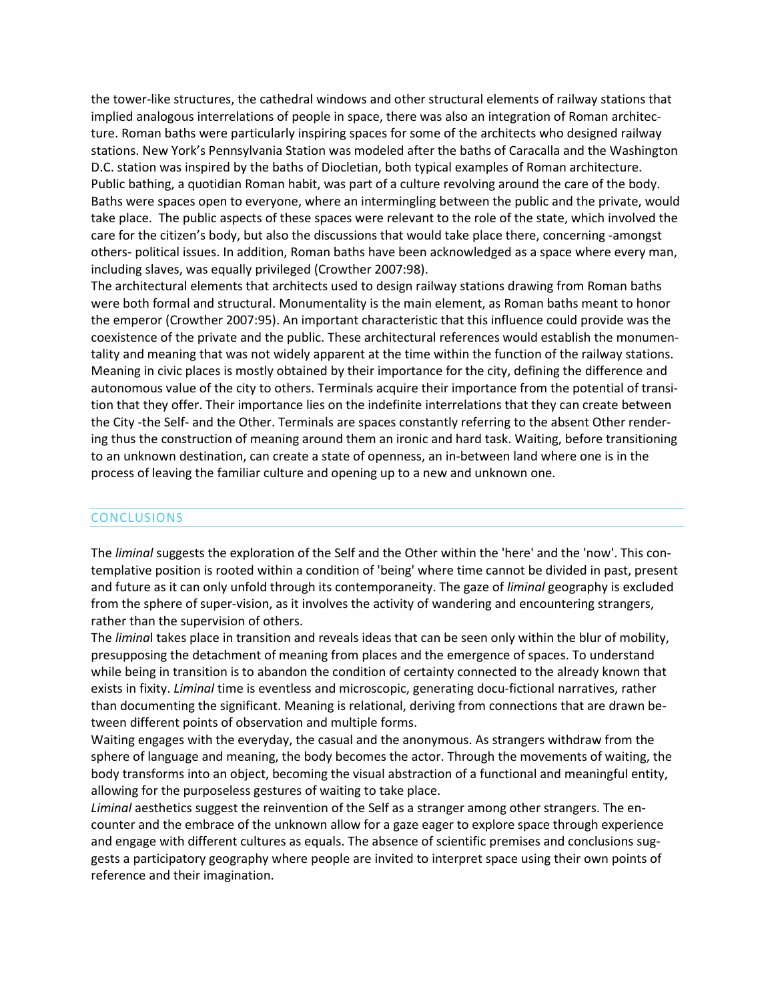the tower-like structures, the cathedral windows and other structural elements of railway stations that implied analogous interrelations of people in space, there was also an integration of Roman architecture. Roman baths were particularly inspiring spaces for some of the architects who designed railway stations. New York's Pennsylvania Station was modeled after the baths of Caracalla and the Washington D.C. station was inspired by the baths of Diocletian, both typical examples of Roman architecture. Public bathing, a quotidian Roman habit, was part of a culture revolving around the care of the body. Baths were spaces open to everyone, where an intermingling between the public and the private, would take place. The public aspects of these spaces were relevant to the role of the state, which involved the care for the citizen's body, but also the discussions that would take place there, concerning -amongst others- political issues. In addition, Roman baths have been acknowledged as a space where every man, including slaves, was equally privileged (Crowther 2007:98).

The architectural elements that architects used to design railway stations drawing from Roman baths were both formal and structural. Monumentality is the main element, as Roman baths meant to honor the emperor (Crowther 2007:95). An important characteristic that this influence could provide was the coexistence of the private and the public. These architectural references would establish the monumentality and meaning that was not widely apparent at the time within the function of the railway stations. Meaning in civic places is mostly obtained by their importance for the city, defining the difference and autonomous value of the city to others. Terminals acquire their importance from the potential of transition that they offer. Their importance lies on the indefinite interrelations that they can create between the City -the Self- and the Other. Terminals are spaces constantly referring to the absent Other rendering thus the construction of meaning around them an ironic and hard task. Waiting, before transitioning to an unknown destination, can create a state of openness, an in-between land where one is in the process of leaving the familiar culture and opening up to a new and unknown one.

#### CONCLUSIONS

The *liminal* suggests the exploration of the Self and the Other within the 'here' and the 'now'. This contemplative position is rooted within a condition of 'being' where time cannot be divided in past, present and future as it can only unfold through its contemporaneity. The gaze of *liminal* geography is excluded from the sphere of super-vision, as it involves the activity of wandering and encountering strangers, rather than the supervision of others.

The *limina*l takes place in transition and reveals ideas that can be seen only within the blur of mobility, presupposing the detachment of meaning from places and the emergence of spaces. To understand while being in transition is to abandon the condition of certainty connected to the already known that exists in fixity. *Liminal* time is eventless and microscopic, generating docu-fictional narratives, rather than documenting the significant. Meaning is relational, deriving from connections that are drawn between different points of observation and multiple forms.

Waiting engages with the everyday, the casual and the anonymous. As strangers withdraw from the sphere of language and meaning, the body becomes the actor. Through the movements of waiting, the body transforms into an object, becoming the visual abstraction of a functional and meaningful entity, allowing for the purposeless gestures of waiting to take place.

*Liminal* aesthetics suggest the reinvention of the Self as a stranger among other strangers. The encounter and the embrace of the unknown allow for a gaze eager to explore space through experience and engage with different cultures as equals. The absence of scientific premises and conclusions suggests a participatory geography where people are invited to interpret space using their own points of reference and their imagination.